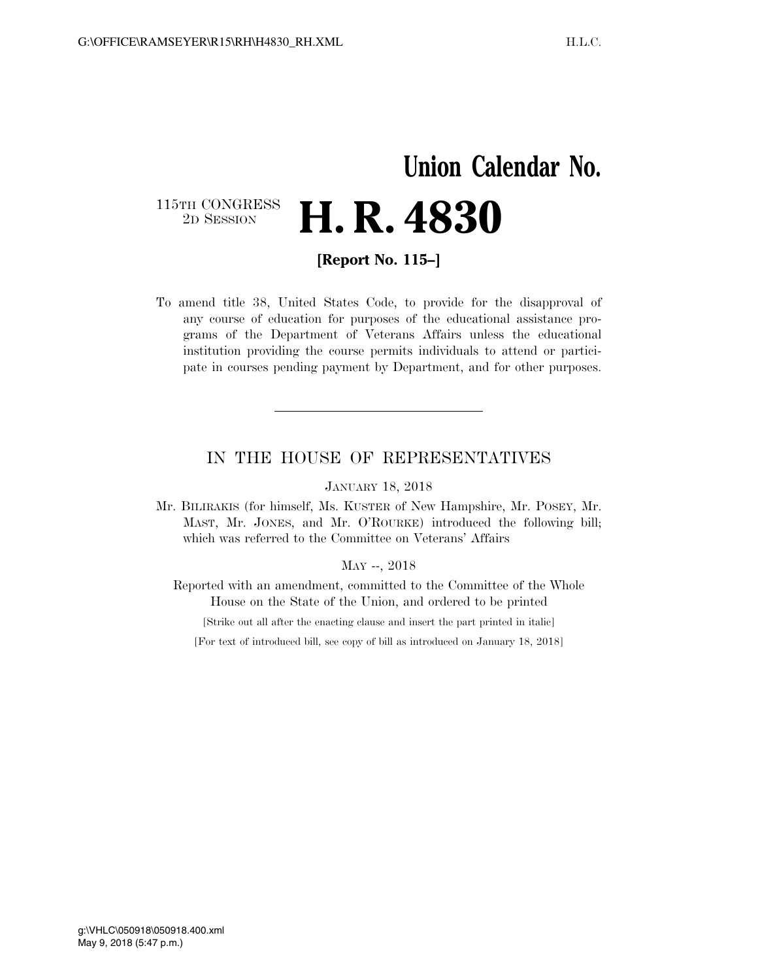## **Union Calendar No.**  115TH CONGRESS<br>2D SESSION 2D SESSION **H. R. 4830**

**[Report No. 115–]** 

To amend title 38, United States Code, to provide for the disapproval of any course of education for purposes of the educational assistance programs of the Department of Veterans Affairs unless the educational institution providing the course permits individuals to attend or participate in courses pending payment by Department, and for other purposes.

## IN THE HOUSE OF REPRESENTATIVES

JANUARY 18, 2018

Mr. BILIRAKIS (for himself, Ms. KUSTER of New Hampshire, Mr. POSEY, Mr. MAST, Mr. JONES, and Mr. O'ROURKE) introduced the following bill; which was referred to the Committee on Veterans' Affairs

## MAY --, 2018

Reported with an amendment, committed to the Committee of the Whole House on the State of the Union, and ordered to be printed

[Strike out all after the enacting clause and insert the part printed in italic]

[For text of introduced bill, see copy of bill as introduced on January 18, 2018]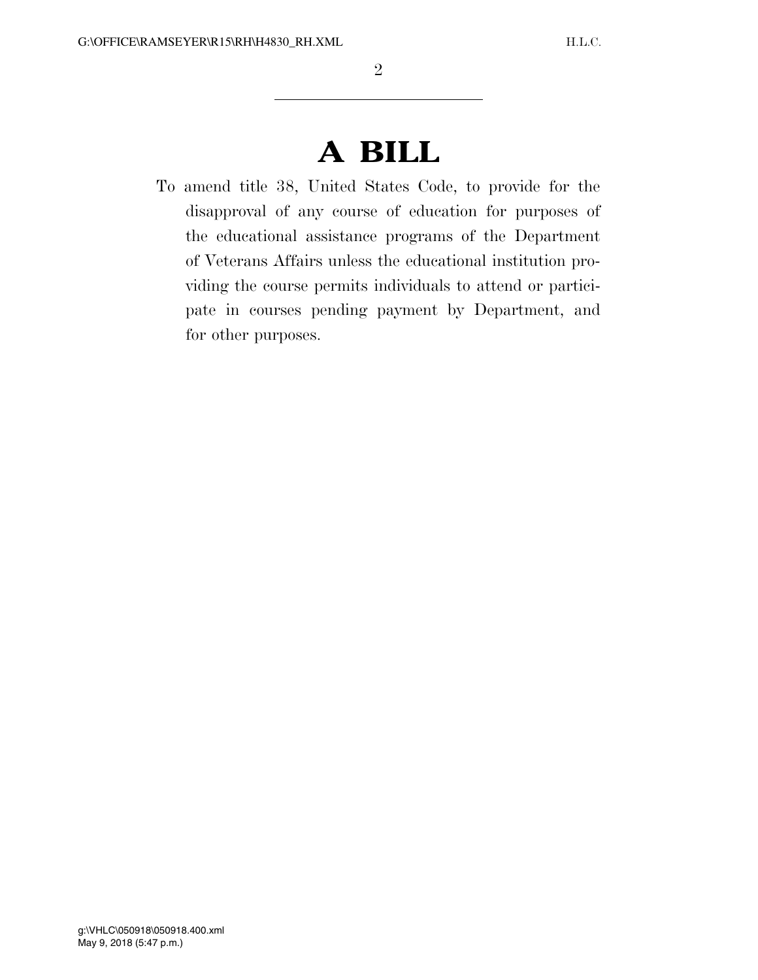## **A BILL**

To amend title 38, United States Code, to provide for the disapproval of any course of education for purposes of the educational assistance programs of the Department of Veterans Affairs unless the educational institution providing the course permits individuals to attend or participate in courses pending payment by Department, and for other purposes.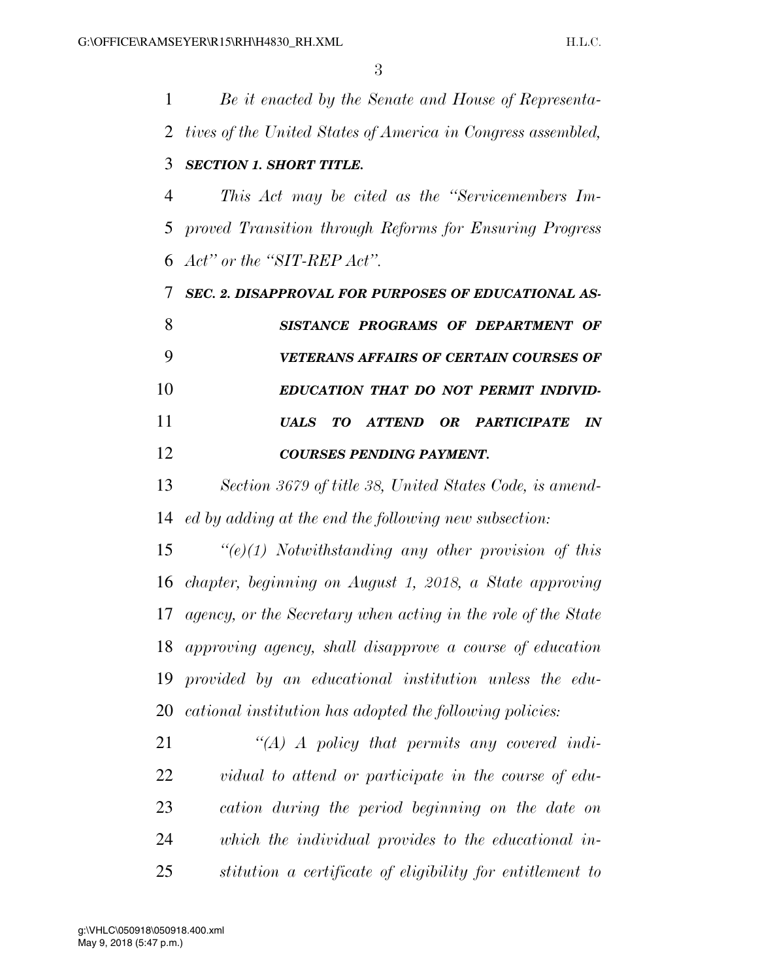*Be it enacted by the Senate and House of Representa- tives of the United States of America in Congress assembled, SECTION 1. SHORT TITLE. This Act may be cited as the ''Servicemembers Im- proved Transition through Reforms for Ensuring Progress Act'' or the ''SIT-REP Act''. SEC. 2. DISAPPROVAL FOR PURPOSES OF EDUCATIONAL AS- SISTANCE PROGRAMS OF DEPARTMENT OF VETERANS AFFAIRS OF CERTAIN COURSES OF EDUCATION THAT DO NOT PERMIT INDIVID- UALS TO ATTEND OR PARTICIPATE IN COURSES PENDING PAYMENT. Section 3679 of title 38, United States Code, is amend-*

*ed by adding at the end the following new subsection:* 

 *''(e)(1) Notwithstanding any other provision of this chapter, beginning on August 1, 2018, a State approving agency, or the Secretary when acting in the role of the State approving agency, shall disapprove a course of education provided by an educational institution unless the edu-cational institution has adopted the following policies:* 

 *''(A) A policy that permits any covered indi- vidual to attend or participate in the course of edu- cation during the period beginning on the date on which the individual provides to the educational in-stitution a certificate of eligibility for entitlement to*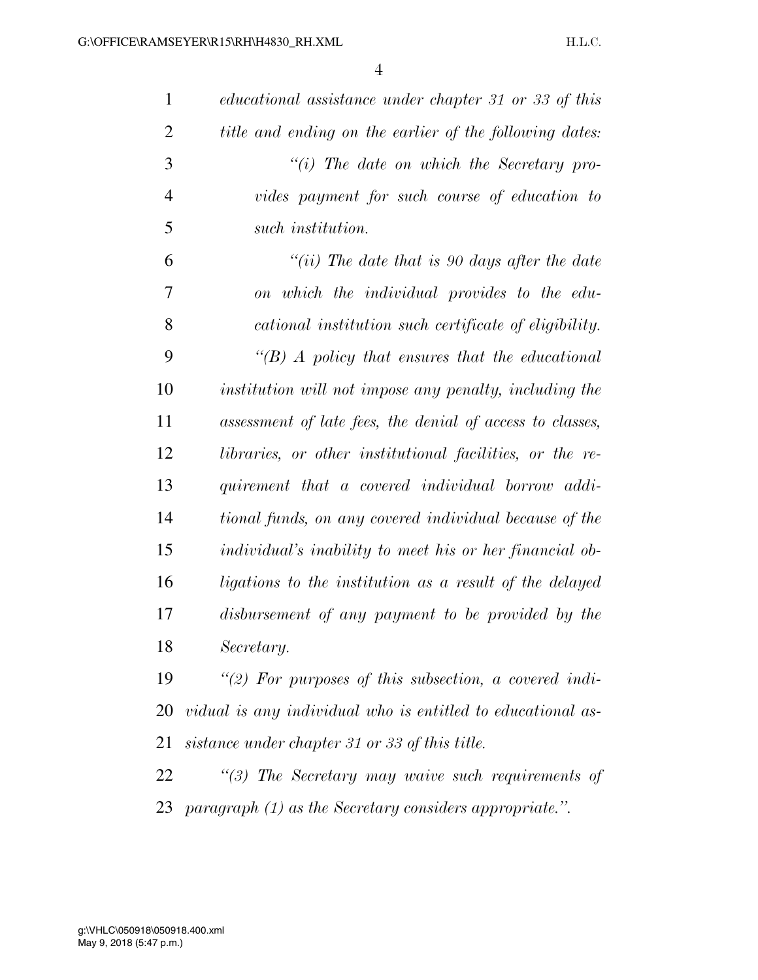| $\mathbf{1}$   | educational assistance under chapter 31 or 33 of this          |
|----------------|----------------------------------------------------------------|
| $\overline{2}$ | title and ending on the earlier of the following dates:        |
| 3              | $``(i)$ The date on which the Secretary pro-                   |
| $\overline{4}$ | vides payment for such course of education to                  |
| 5              | such institution.                                              |
| 6              | "(ii) The date that is 90 days after the date                  |
| 7              | on which the individual provides to the edu-                   |
| 8              | cational institution such certificate of eligibility.          |
| 9              | $\lq (B)$ A policy that ensures that the educational           |
| 10             | institution will not impose any penalty, including the         |
| 11             | assessment of late fees, the denial of access to classes,      |
| 12             | libraries, or other institutional facilities, or the re-       |
| 13             | quirement that a covered individual borrow addi-               |
| 14             | tional funds, on any covered individual because of the         |
| 15             | <i>individual's inability to meet his or her financial ob-</i> |
| 16             | ligations to the institution as a result of the delayed        |
| 17             | disbursement of any payment to be provided by the              |
| 18             | Secretary.                                                     |
| 19             | "(2) For purposes of this subsection, a covered indi-          |
| 20             | vidual is any individual who is entitled to educational as-    |
| 21             | sistance under chapter 31 or 33 of this title.                 |
| 22             | $\lq(3)$ The Secretary may waive such requirements of          |
| 23             | paragraph $(1)$ as the Secretary considers appropriate.".      |